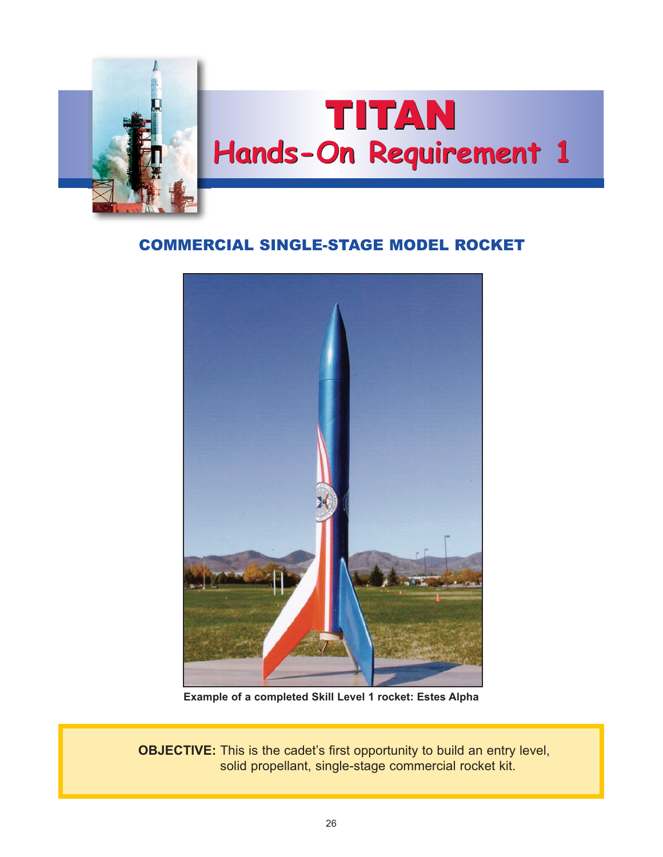

# TITAN **Hands-On Requirement 1**

# COMMERCIAL SINGLE-STAGE MODEL ROCKET



**Example of a completed Skill Level 1 rocket: Estes Alpha**

**OBJECTIVE:** This is the cadet's first opportunity to build an entry level, solid propellant, single-stage commercial rocket kit.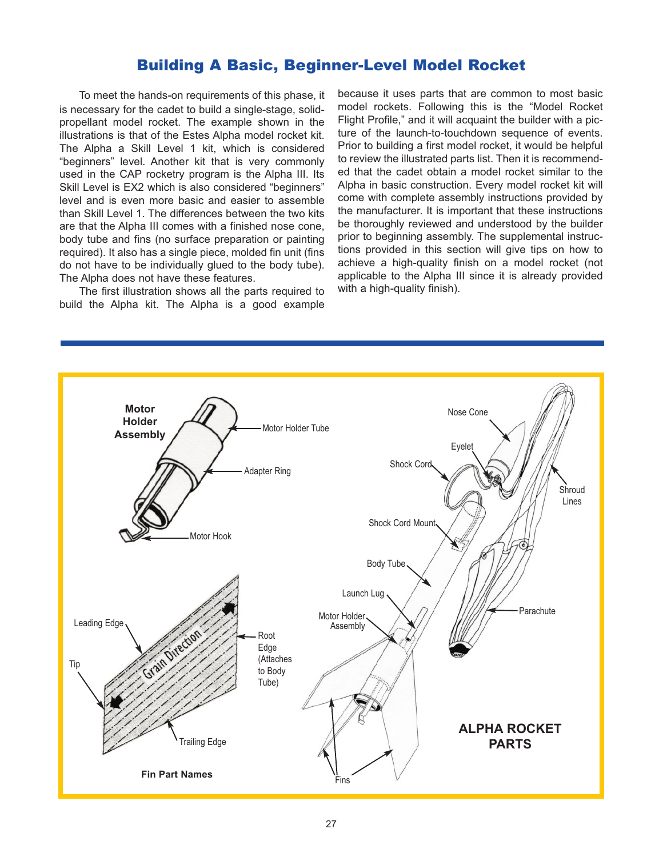## Building A Basic, Beginner-Level Model Rocket

 To meet the hands-on requirements of this phase, it is necessary for the cadet to build a single-stage, solidpropellant model rocket. The example shown in the illustrations is that of the Estes Alpha model rocket kit. The Alpha a Skill Level 1 kit, which is considered "beginners" level. Another kit that is very commonly used in the CAP rocketry program is the Alpha III. Its Skill Level is EX2 which is also considered "beginners" level and is even more basic and easier to assemble than Skill Level 1. The differences between the two kits are that the Alpha III comes with a finished nose cone, body tube and fins (no surface preparation or painting required). It also has a single piece, molded fin unit (fins do not have to be individually glued to the body tube). The Alpha does not have these features.

 The first illustration shows all the parts required to build the Alpha kit. The Alpha is a good example

because it uses parts that are common to most basic model rockets. Following this is the "Model Rocket Flight Profile," and it will acquaint the builder with a picture of the launch-to-touchdown sequence of events. Prior to building a first model rocket, it would be helpful to review the illustrated parts list. Then it is recommended that the cadet obtain a model rocket similar to the Alpha in basic construction. Every model rocket kit will come with complete assembly instructions provided by the manufacturer. It is important that these instructions be thoroughly reviewed and understood by the builder prior to beginning assembly. The supplemental instructions provided in this section will give tips on how to achieve a high-quality finish on a model rocket (not applicable to the Alpha III since it is already provided with a high-quality finish).

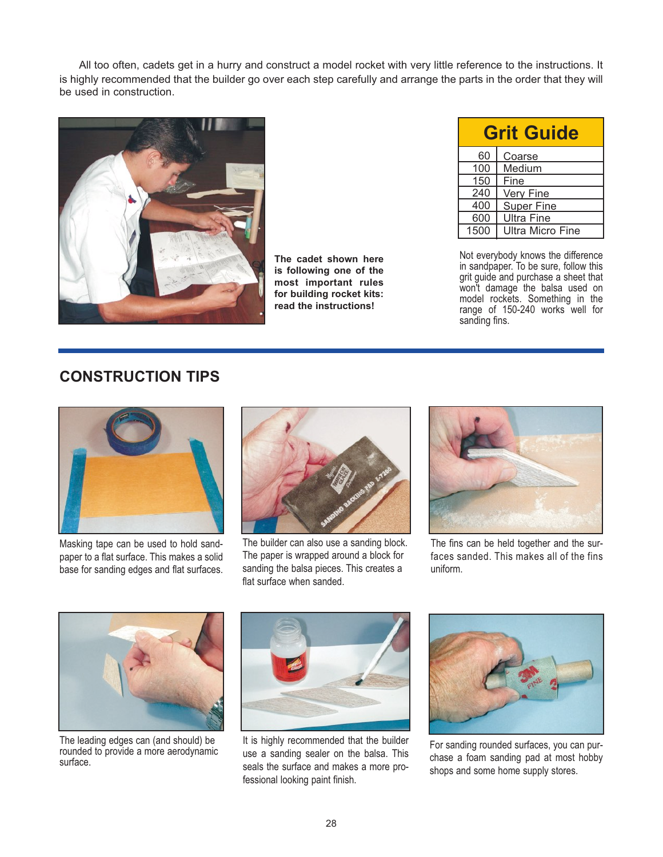All too often, cadets get in a hurry and construct a model rocket with very little reference to the instructions. It is highly recommended that the builder go over each step carefully and arrange the parts in the order that they will be used in construction.



**The cadet shown here is following one of the most important rules for building rocket kits: read the instructions!**

| <b>Grit Guide</b> |                         |
|-------------------|-------------------------|
| 60                | Coarse                  |
| 100               | Medium                  |
| 150               | Fine                    |
| 240               | Very Fine               |
| 400               | <b>Super Fine</b>       |
| 600               | <b>Ultra Fine</b>       |
| 1500              | <b>Ultra Micro Fine</b> |

Not everybody knows the difference in sandpaper. To be sure, follow this grit guide and purchase a sheet that won't damage the balsa used on model rockets. Something in the range of 150-240 works well for sanding fins.

# **CONSTRUCTION TIPS**



Masking tape can be used to hold sandpaper to a flat surface. This makes a solid base for sanding edges and flat surfaces.



The builder can also use a sanding block. The paper is wrapped around a block for sanding the balsa pieces. This creates a flat surface when sanded.



The fins can be held together and the surfaces sanded. This makes all of the fins uniform.



The leading edges can (and should) be rounded to provide a more aerodynamic surface.



It is highly recommended that the builder use a sanding sealer on the balsa. This seals the surface and makes a more professional looking paint finish.



For sanding rounded surfaces, you can purchase a foam sanding pad at most hobby shops and some home supply stores.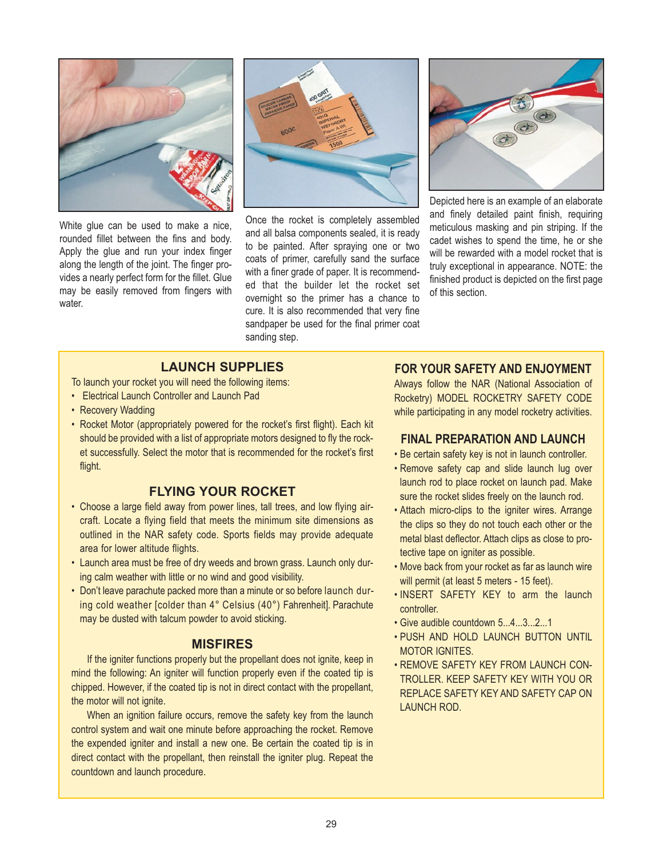

White glue can be used to make a nice, rounded fillet between the fins and body. Apply the glue and run your index finger along the length of the joint. The finger provides a nearly perfect form for the fillet. Glue may be easily removed from fingers with water.



Once the rocket is completely assembled and all balsa components sealed, it is ready to be painted. After spraying one or two coats of primer, carefully sand the surface with a finer grade of paper. It is recommended that the builder let the rocket set overnight so the primer has a chance to cure. It is also recommended that very fine sandpaper be used for the final primer coat sanding step.



Depicted here is an example of an elaborate and finely detailed paint finish, requiring meticulous masking and pin striping. If the cadet wishes to spend the time, he or she will be rewarded with a model rocket that is truly exceptional in appearance. NOTE: the finished product is depicted on the first page of this section.

## **LAUNCH SUPPLIES**

To launch your rocket you will need the following items:

- Electrical Launch Controller and Launch Pad
- Recovery Wadding
- Rocket Motor (appropriately powered for the rocket's first flight). Each kit should be provided with a list of appropriate motors designed to fly the rocket successfully. Select the motor that is recommended for the rocket's first flight.

## **FLYING YOUR ROCKET**

- Choose a large field away from power lines, tall trees, and low flying aircraft. Locate a flying field that meets the minimum site dimensions as outlined in the NAR safety code. Sports fields may provide adequate area for lower altitude flights.
- Launch area must be free of dry weeds and brown grass. Launch only during calm weather with little or no wind and good visibility.
- Don't leave parachute packed more than a minute or so before launch during cold weather [colder than 4° Celsius (40°) Fahrenheit]. Parachute may be dusted with talcum powder to avoid sticking.

#### **MISFIRES**

If the igniter functions properly but the propellant does not ignite, keep in mind the following: An igniter will function properly even if the coated tip is chipped. However, if the coated tip is not in direct contact with the propellant, the motor will not ignite.

When an ignition failure occurs, remove the safety key from the launch control system and wait one minute before approaching the rocket. Remove the expended igniter and install a new one. Be certain the coated tip is in direct contact with the propellant, then reinstall the igniter plug. Repeat the countdown and launch procedure.

#### **FOR YOUR SAFETY AND ENJOYMENT**

Always follow the NAR (National Association of Rocketry) MODEL ROCKETRY SAFETY CODE while participating in any model rocketry activities.

#### **FINAL PREPARATION AND LAUNCH**

- Be certain safety key is not in launch controller.
- Remove safety cap and slide launch lug over launch rod to place rocket on launch pad. Make sure the rocket slides freely on the launch rod.
- Attach micro-clips to the igniter wires. Arrange the clips so they do not touch each other or the metal blast deflector. Attach clips as close to protective tape on igniter as possible.
- Move back from your rocket as far as launch wire will permit (at least 5 meters - 15 feet).
- INSERT SAFETY KEY to arm the launch controller.
- Give audible countdown 5...4...3...2...1
- PUSH AND HOLD LAUNCH BUTTON UNTIL MOTOR IGNITES.
- REMOVE SAFETY KEY FROM LAUNCH CON-TROLLER. KEEP SAFETY KEY WITH YOU OR REPLACE SAFETY KEY AND SAFETY CAP ON LAUNCH ROD.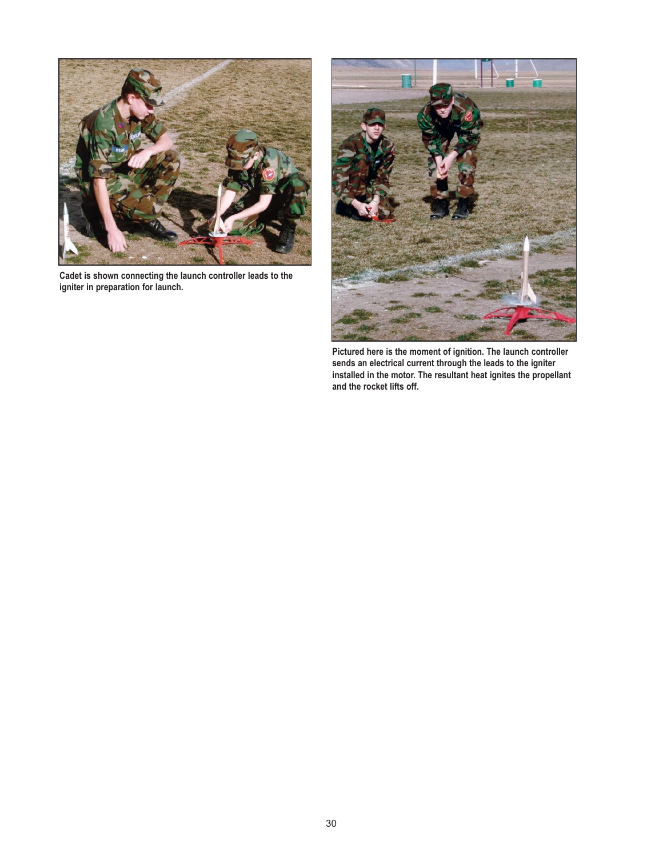

**Cadet is shown connecting the launch controller leads to the igniter in preparation for launch.**



**Pictured here is the moment of ignition. The launch controller sends an electrical current through the leads to the igniter installed in the motor. The resultant heat ignites the propellant and the rocket lifts off.**